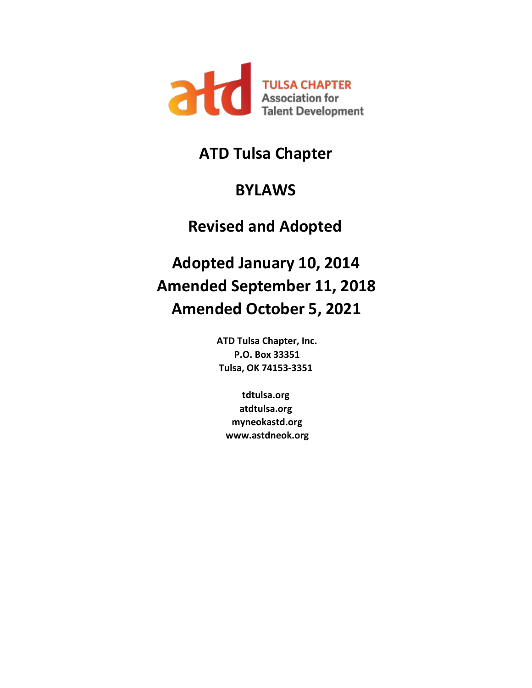

# **ATD Tulsa Chapter**

# **BYLAWS**

# **Revised and Adopted**

# **Adopted January 10, 2014 Amended September 11, 2018 Amended October 5, 2021**<br>ATD Tulsa Chapter, Inc.

**P.O. Box 33351 Tulsa, OK 74153-3351** 

**tdtulsa.org atdtulsa.org myneokastd.org www.astdneok.org**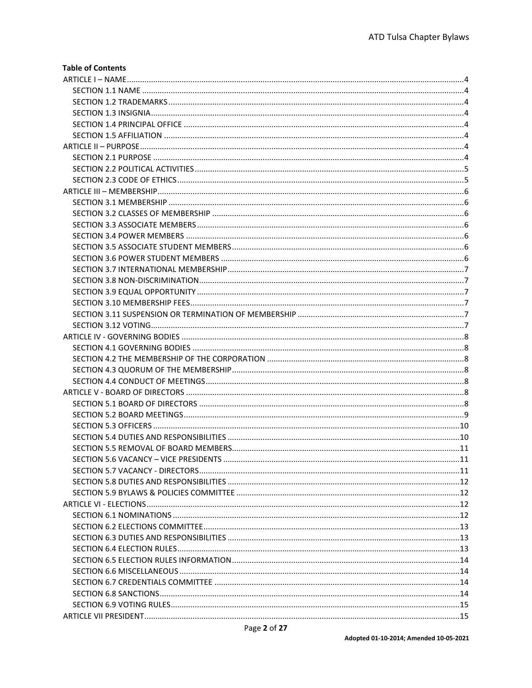#### **Table of Contents**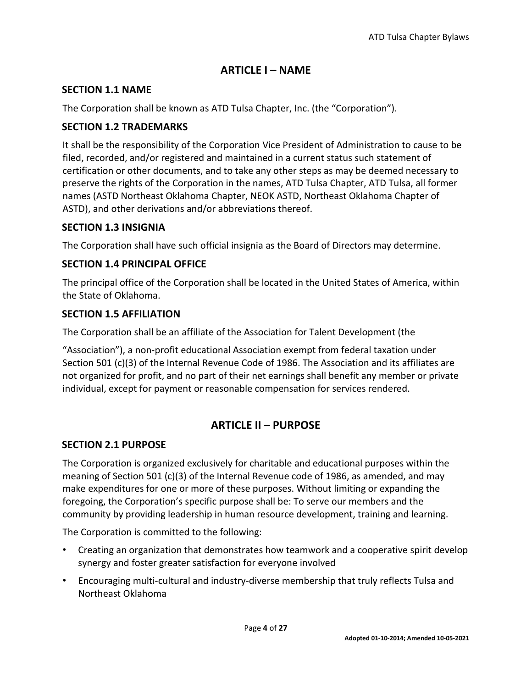# **ARTICLE I – NAME**

# <span id="page-3-1"></span><span id="page-3-0"></span>**SECTION 1.1 NAME**

The Corporation shall be known as ATD Tulsa Chapter, Inc. (the "Corporation").

# <span id="page-3-2"></span>**SECTION 1.2 TRADEMARKS**

It shall be the responsibility of the Corporation Vice President of Administration to cause to be filed, recorded, and/or registered and maintained in a current status such statement of certification or other documents, and to take any other steps as may be deemed necessary to preserve the rights of the Corporation in the names, ATD Tulsa Chapter, ATD Tulsa, all former names (ASTD Northeast Oklahoma Chapter, NEOK ASTD, Northeast Oklahoma Chapter of ASTD), and other derivations and/or abbreviations thereof.

# <span id="page-3-3"></span>**SECTION 1.3 INSIGNIA**

The Corporation shall have such official insignia as the Board of Directors may determine.

# <span id="page-3-4"></span>**SECTION 1.4 PRINCIPAL OFFICE**

The principal office of the Corporation shall be located in the United States of America, within the State of Oklahoma.

# <span id="page-3-5"></span>**SECTION 1.5 AFFILIATION**

The Corporation shall be an affiliate of the Association for Talent Development (the

"Association"), a non-profit educational Association exempt from federal taxation under Section 501 (c)(3) of the Internal Revenue Code of 1986. The Association and its affiliates are not organized for profit, and no part of their net earnings shall benefit any member or private individual, except for payment or reasonable compensation for services rendered.

# **ARTICLE II – PURPOSE**

# <span id="page-3-7"></span><span id="page-3-6"></span>**SECTION 2.1 PURPOSE**

The Corporation is organized exclusively for charitable and educational purposes within the meaning of Section 501 (c)(3) of the Internal Revenue code of 1986, as amended, and may make expenditures for one or more of these purposes. Without limiting or expanding the foregoing, the Corporation's specific purpose shall be: To serve our members and the community by providing leadership in human resource development, training and learning.

The Corporation is committed to the following:

- Creating an organization that demonstrates how teamwork and a cooperative spirit develop synergy and foster greater satisfaction for everyone involved
- Encouraging multi-cultural and industry-diverse membership that truly reflects Tulsa and Northeast Oklahoma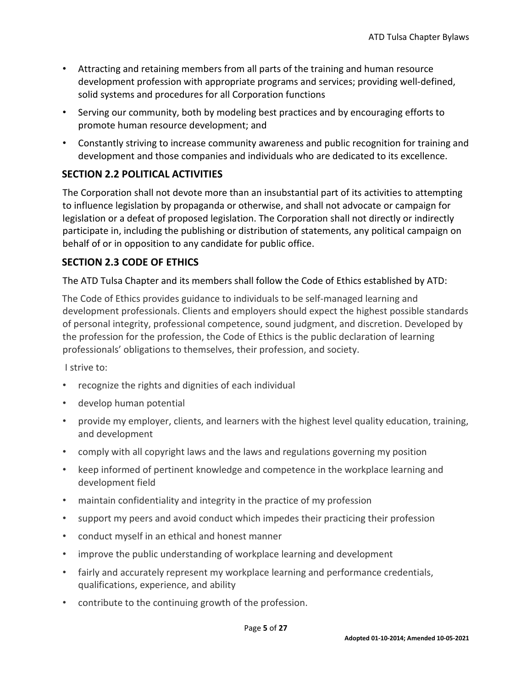- Attracting and retaining members from all parts of the training and human resource development profession with appropriate programs and services; providing well-defined, solid systems and procedures for all Corporation functions
- Serving our community, both by modeling best practices and by encouraging efforts to promote human resource development; and
- Constantly striving to increase community awareness and public recognition for training and development and those companies and individuals who are dedicated to its excellence.

# <span id="page-4-0"></span>**SECTION 2.2 POLITICAL ACTIVITIES**

The Corporation shall not devote more than an insubstantial part of its activities to attempting to influence legislation by propaganda or otherwise, and shall not advocate or campaign for legislation or a defeat of proposed legislation. The Corporation shall not directly or indirectly participate in, including the publishing or distribution of statements, any political campaign on behalf of or in opposition to any candidate for public office.

# <span id="page-4-1"></span>**SECTION 2.3 CODE OF ETHICS**

The ATD Tulsa Chapter and its members shall follow the Code of Ethics established by ATD:

The Code of Ethics provides guidance to individuals to be self-managed learning and development professionals. Clients and employers should expect the highest possible standards of personal integrity, professional competence, sound judgment, and discretion. Developed by the profession for the profession, the Code of Ethics is the public declaration of learning professionals' obligations to themselves, their profession, and society.

I strive to:

- recognize the rights and dignities of each individual
- develop human potential
- provide my employer, clients, and learners with the highest level quality education, training, and development
- comply with all copyright laws and the laws and regulations governing my position
- keep informed of pertinent knowledge and competence in the workplace learning and development field
- maintain confidentiality and integrity in the practice of my profession
- support my peers and avoid conduct which impedes their practicing their profession
- conduct myself in an ethical and honest manner
- improve the public understanding of workplace learning and development
- fairly and accurately represent my workplace learning and performance credentials, qualifications, experience, and ability
- contribute to the continuing growth of the profession.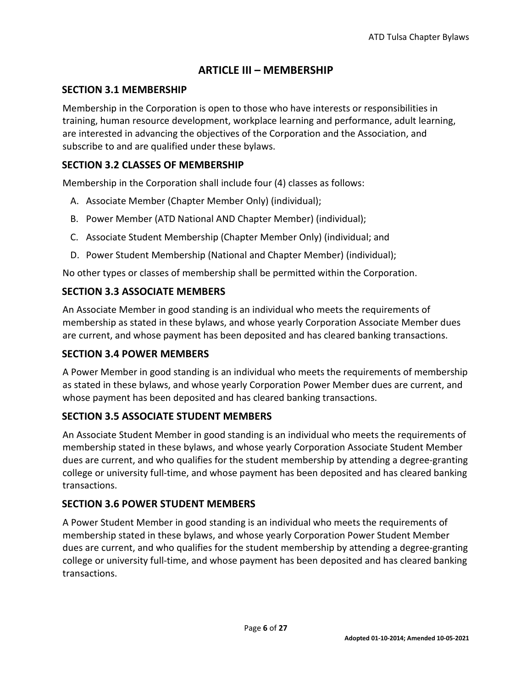# **ARTICLE III – MEMBERSHIP**

#### <span id="page-5-1"></span><span id="page-5-0"></span>**SECTION 3.1 MEMBERSHIP**

Membership in the Corporation is open to those who have interests or responsibilities in training, human resource development, workplace learning and performance, adult learning, are interested in advancing the objectives of the Corporation and the Association, and subscribe to and are qualified under these bylaws.

#### <span id="page-5-2"></span>**SECTION 3.2 CLASSES OF MEMBERSHIP**

Membership in the Corporation shall include four (4) classes as follows:

- A. Associate Member (Chapter Member Only) (individual);
- B. Power Member (ATD National AND Chapter Member) (individual);
- C. Associate Student Membership (Chapter Member Only) (individual; and
- D. Power Student Membership (National and Chapter Member) (individual);

No other types or classes of membership shall be permitted within the Corporation.

#### <span id="page-5-3"></span>**SECTION 3.3 ASSOCIATE MEMBERS**

An Associate Member in good standing is an individual who meets the requirements of membership as stated in these bylaws, and whose yearly Corporation Associate Member dues are current, and whose payment has been deposited and has cleared banking transactions.

#### <span id="page-5-4"></span>**SECTION 3.4 POWER MEMBERS**

A Power Member in good standing is an individual who meets the requirements of membership as stated in these bylaws, and whose yearly Corporation Power Member dues are current, and whose payment has been deposited and has cleared banking transactions.

#### <span id="page-5-5"></span>**SECTION 3.5 ASSOCIATE STUDENT MEMBERS**

An Associate Student Member in good standing is an individual who meets the requirements of membership stated in these bylaws, and whose yearly Corporation Associate Student Member dues are current, and who qualifies for the student membership by attending a degree-granting college or university full-time, and whose payment has been deposited and has cleared banking transactions.

#### <span id="page-5-6"></span>**SECTION 3.6 POWER STUDENT MEMBERS**

A Power Student Member in good standing is an individual who meets the requirements of membership stated in these bylaws, and whose yearly Corporation Power Student Member dues are current, and who qualifies for the student membership by attending a degree-granting college or university full-time, and whose payment has been deposited and has cleared banking transactions.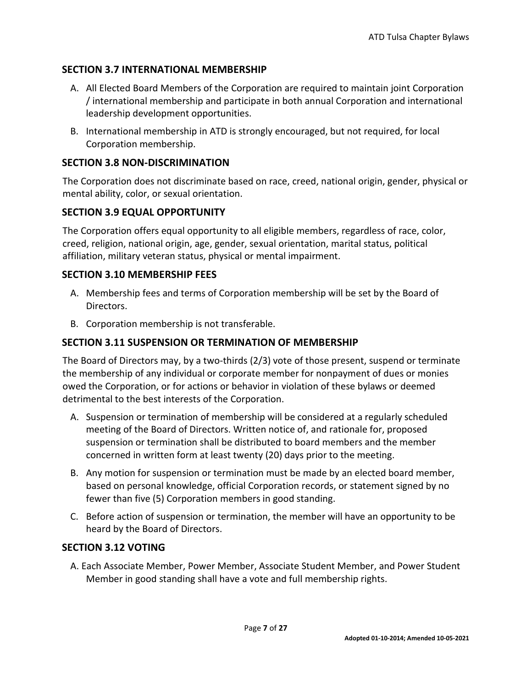# <span id="page-6-0"></span>**SECTION 3.7 INTERNATIONAL MEMBERSHIP**

- A. All Elected Board Members of the Corporation are required to maintain joint Corporation / international membership and participate in both annual Corporation and international leadership development opportunities.
- B. International membership in ATD is strongly encouraged, but not required, for local Corporation membership.

#### <span id="page-6-1"></span>**SECTION 3.8 NON-DISCRIMINATION**

The Corporation does not discriminate based on race, creed, national origin, gender, physical or mental ability, color, or sexual orientation.

#### <span id="page-6-2"></span>**SECTION 3.9 EQUAL OPPORTUNITY**

The Corporation offers equal opportunity to all eligible members, regardless of race, color, creed, religion, national origin, age, gender, sexual orientation, marital status, political affiliation, military veteran status, physical or mental impairment.

#### <span id="page-6-3"></span>**SECTION 3.10 MEMBERSHIP FEES**

- A. Membership fees and terms of Corporation membership will be set by the Board of Directors.
- B. Corporation membership is not transferable.

#### <span id="page-6-4"></span>**SECTION 3.11 SUSPENSION OR TERMINATION OF MEMBERSHIP**

The Board of Directors may, by a two-thirds (2/3) vote of those present, suspend or terminate the membership of any individual or corporate member for nonpayment of dues or monies owed the Corporation, or for actions or behavior in violation of these bylaws or deemed detrimental to the best interests of the Corporation.

- A. Suspension or termination of membership will be considered at a regularly scheduled meeting of the Board of Directors. Written notice of, and rationale for, proposed suspension or termination shall be distributed to board members and the member concerned in written form at least twenty (20) days prior to the meeting.
- B. Any motion for suspension or termination must be made by an elected board member, based on personal knowledge, official Corporation records, or statement signed by no fewer than five (5) Corporation members in good standing.
- C. Before action of suspension or termination, the member will have an opportunity to be heard by the Board of Directors.

#### <span id="page-6-5"></span>**SECTION 3.12 VOTING**

A. Each Associate Member, Power Member, Associate Student Member, and Power Student Member in good standing shall have a vote and full membership rights.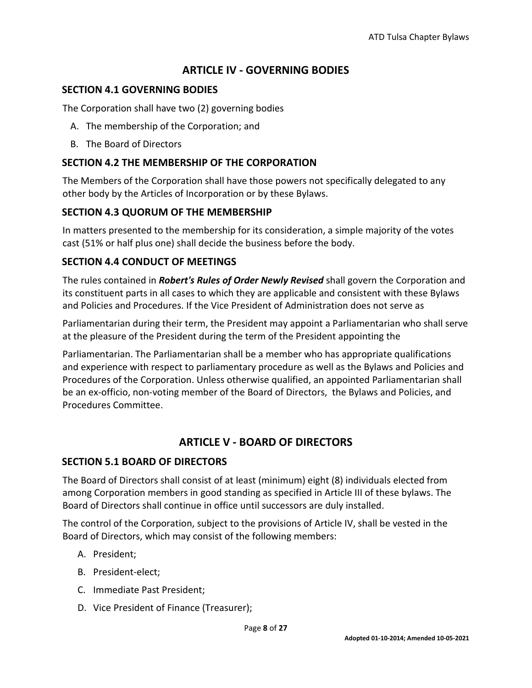# **ARTICLE IV - GOVERNING BODIES**

#### <span id="page-7-1"></span><span id="page-7-0"></span>**SECTION 4.1 GOVERNING BODIES**

The Corporation shall have two (2) governing bodies

- A. The membership of the Corporation; and
- B. The Board of Directors

#### <span id="page-7-2"></span>**SECTION 4.2 THE MEMBERSHIP OF THE CORPORATION**

The Members of the Corporation shall have those powers not specifically delegated to any other body by the Articles of Incorporation or by these Bylaws.

#### <span id="page-7-3"></span>**SECTION 4.3 QUORUM OF THE MEMBERSHIP**

In matters presented to the membership for its consideration, a simple majority of the votes cast (51% or half plus one) shall decide the business before the body.

#### <span id="page-7-4"></span>**SECTION 4.4 CONDUCT OF MEETINGS**

The rules contained in *Robert's Rules of Order Newly Revised* shall govern the Corporation and its constituent parts in all cases to which they are applicable and consistent with these Bylaws and Policies and Procedures. If the Vice President of Administration does not serve as

Parliamentarian during their term, the President may appoint a Parliamentarian who shall serve at the pleasure of the President during the term of the President appointing the

Parliamentarian. The Parliamentarian shall be a member who has appropriate qualifications and experience with respect to parliamentary procedure as well as the Bylaws and Policies and Procedures of the Corporation. Unless otherwise qualified, an appointed Parliamentarian shall be an ex-officio, non-voting member of the Board of Directors, the Bylaws and Policies, and Procedures Committee.

# **ARTICLE V - BOARD OF DIRECTORS**

#### <span id="page-7-6"></span><span id="page-7-5"></span>**SECTION 5.1 BOARD OF DIRECTORS**

The Board of Directors shall consist of at least (minimum) eight (8) individuals elected from among Corporation members in good standing as specified in Article III of these bylaws. The Board of Directors shall continue in office until successors are duly installed.

The control of the Corporation, subject to the provisions of Article IV, shall be vested in the Board of Directors, which may consist of the following members:

- A. President;
- B. President-elect;
- C. Immediate Past President;
- D. Vice President of Finance (Treasurer);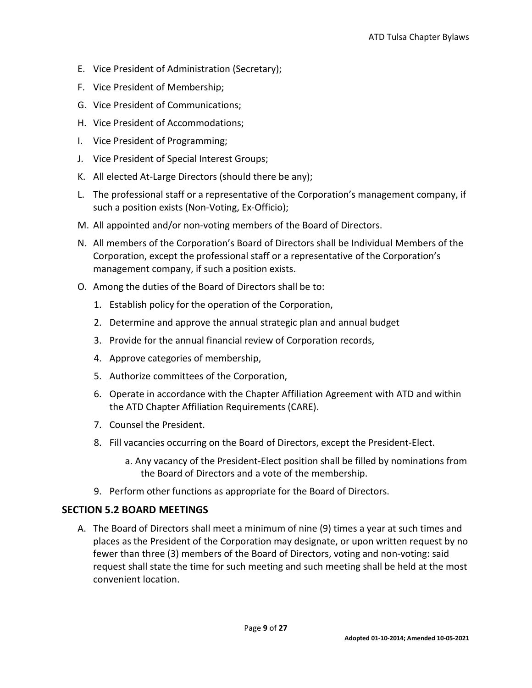- E. Vice President of Administration (Secretary);
- F. Vice President of Membership;
- G. Vice President of Communications;
- H. Vice President of Accommodations;
- I. Vice President of Programming;
- J. Vice President of Special Interest Groups;
- K. All elected At-Large Directors (should there be any);
- L. The professional staff or a representative of the Corporation's management company, if such a position exists (Non-Voting, Ex-Officio);
- M. All appointed and/or non-voting members of the Board of Directors.
- N. All members of the Corporation's Board of Directors shall be Individual Members of the Corporation, except the professional staff or a representative of the Corporation's management company, if such a position exists.
- O. Among the duties of the Board of Directors shall be to:
	- 1. Establish policy for the operation of the Corporation,
	- 2. Determine and approve the annual strategic plan and annual budget
	- 3. Provide for the annual financial review of Corporation records,
	- 4. Approve categories of membership,
	- 5. Authorize committees of the Corporation,
	- 6. Operate in accordance with the Chapter Affiliation Agreement with ATD and within the ATD Chapter Affiliation Requirements (CARE).
	- 7. Counsel the President.
	- 8. Fill vacancies occurring on the Board of Directors, except the President-Elect.
		- a. Any vacancy of the President-Elect position shall be filled by nominations from the Board of Directors and a vote of the membership.
	- 9. Perform other functions as appropriate for the Board of Directors.

# <span id="page-8-0"></span>**SECTION 5.2 BOARD MEETINGS**

A. The Board of Directors shall meet a minimum of nine (9) times a year at such times and places as the President of the Corporation may designate, or upon written request by no fewer than three (3) members of the Board of Directors, voting and non-voting: said request shall state the time for such meeting and such meeting shall be held at the most convenient location.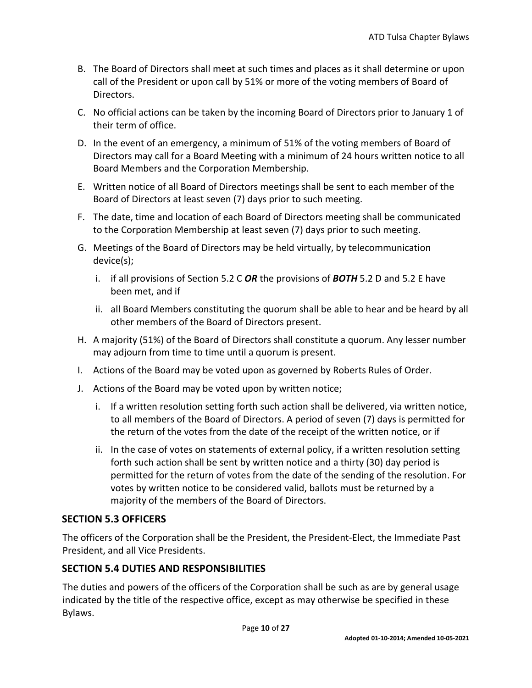- B. The Board of Directors shall meet at such times and places as it shall determine or upon call of the President or upon call by 51% or more of the voting members of Board of Directors.
- C. No official actions can be taken by the incoming Board of Directors prior to January 1 of their term of office.
- D. In the event of an emergency, a minimum of 51% of the voting members of Board of Directors may call for a Board Meeting with a minimum of 24 hours written notice to all Board Members and the Corporation Membership.
- E. Written notice of all Board of Directors meetings shall be sent to each member of the Board of Directors at least seven (7) days prior to such meeting.
- F. The date, time and location of each Board of Directors meeting shall be communicated to the Corporation Membership at least seven (7) days prior to such meeting.
- G. Meetings of the Board of Directors may be held virtually, by telecommunication device(s);
	- i. if all provisions of Section 5.2 C *OR* the provisions of *BOTH* 5.2 D and 5.2 E have been met, and if
	- ii. all Board Members constituting the quorum shall be able to hear and be heard by all other members of the Board of Directors present.
- H. A majority (51%) of the Board of Directors shall constitute a quorum. Any lesser number may adjourn from time to time until a quorum is present.
- I. Actions of the Board may be voted upon as governed by Roberts Rules of Order.
- J. Actions of the Board may be voted upon by written notice;
	- i. If a written resolution setting forth such action shall be delivered, via written notice, to all members of the Board of Directors. A period of seven (7) days is permitted for the return of the votes from the date of the receipt of the written notice, or if
	- ii. In the case of votes on statements of external policy, if a written resolution setting forth such action shall be sent by written notice and a thirty (30) day period is permitted for the return of votes from the date of the sending of the resolution. For votes by written notice to be considered valid, ballots must be returned by a majority of the members of the Board of Directors.

# <span id="page-9-0"></span>**SECTION 5.3 OFFICERS**

The officers of the Corporation shall be the President, the President-Elect, the Immediate Past President, and all Vice Presidents.

# <span id="page-9-1"></span>**SECTION 5.4 DUTIES AND RESPONSIBILITIES**

The duties and powers of the officers of the Corporation shall be such as are by general usage indicated by the title of the respective office, except as may otherwise be specified in these Bylaws.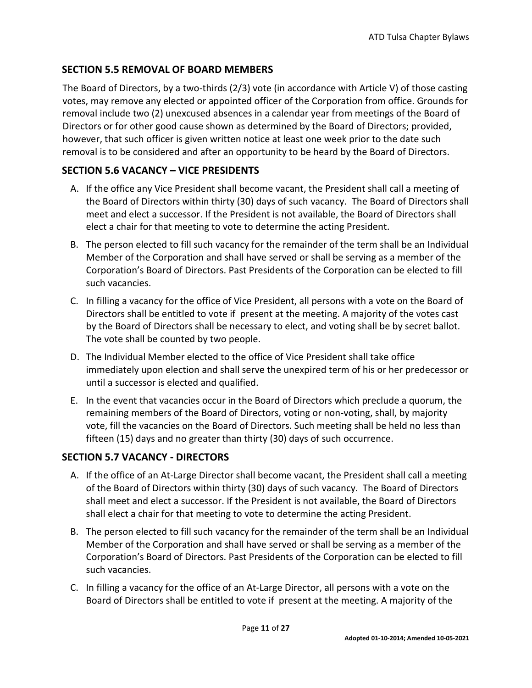# <span id="page-10-0"></span>**SECTION 5.5 REMOVAL OF BOARD MEMBERS**

The Board of Directors, by a two-thirds (2/3) vote (in accordance with Article V) of those casting votes, may remove any elected or appointed officer of the Corporation from office. Grounds for removal include two (2) unexcused absences in a calendar year from meetings of the Board of Directors or for other good cause shown as determined by the Board of Directors; provided, however, that such officer is given written notice at least one week prior to the date such removal is to be considered and after an opportunity to be heard by the Board of Directors.

# <span id="page-10-1"></span>**SECTION 5.6 VACANCY – VICE PRESIDENTS**

- A. If the office any Vice President shall become vacant, the President shall call a meeting of the Board of Directors within thirty (30) days of such vacancy. The Board of Directors shall meet and elect a successor. If the President is not available, the Board of Directors shall elect a chair for that meeting to vote to determine the acting President.
- B. The person elected to fill such vacancy for the remainder of the term shall be an Individual Member of the Corporation and shall have served or shall be serving as a member of the Corporation's Board of Directors. Past Presidents of the Corporation can be elected to fill such vacancies.
- C. In filling a vacancy for the office of Vice President, all persons with a vote on the Board of Directors shall be entitled to vote if present at the meeting. A majority of the votes cast by the Board of Directors shall be necessary to elect, and voting shall be by secret ballot. The vote shall be counted by two people.
- D. The Individual Member elected to the office of Vice President shall take office immediately upon election and shall serve the unexpired term of his or her predecessor or until a successor is elected and qualified.
- E. In the event that vacancies occur in the Board of Directors which preclude a quorum, the remaining members of the Board of Directors, voting or non-voting, shall, by majority vote, fill the vacancies on the Board of Directors. Such meeting shall be held no less than fifteen (15) days and no greater than thirty (30) days of such occurrence.

# <span id="page-10-2"></span>**SECTION 5.7 VACANCY - DIRECTORS**

- A. If the office of an At-Large Director shall become vacant, the President shall call a meeting of the Board of Directors within thirty (30) days of such vacancy. The Board of Directors shall meet and elect a successor. If the President is not available, the Board of Directors shall elect a chair for that meeting to vote to determine the acting President.
- B. The person elected to fill such vacancy for the remainder of the term shall be an Individual Member of the Corporation and shall have served or shall be serving as a member of the Corporation's Board of Directors. Past Presidents of the Corporation can be elected to fill such vacancies.
- C. In filling a vacancy for the office of an At-Large Director, all persons with a vote on the Board of Directors shall be entitled to vote if present at the meeting. A majority of the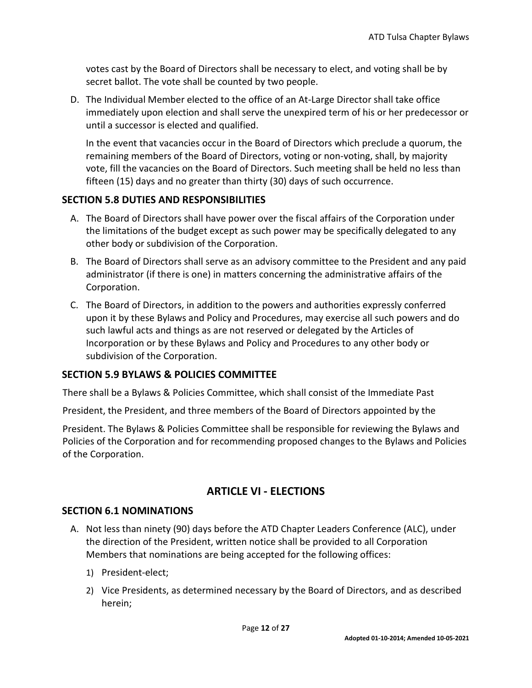votes cast by the Board of Directors shall be necessary to elect, and voting shall be by secret ballot. The vote shall be counted by two people.

D. The Individual Member elected to the office of an At-Large Director shall take office immediately upon election and shall serve the unexpired term of his or her predecessor or until a successor is elected and qualified.

In the event that vacancies occur in the Board of Directors which preclude a quorum, the remaining members of the Board of Directors, voting or non-voting, shall, by majority vote, fill the vacancies on the Board of Directors. Such meeting shall be held no less than fifteen (15) days and no greater than thirty (30) days of such occurrence.

#### <span id="page-11-0"></span>**SECTION 5.8 DUTIES AND RESPONSIBILITIES**

- A. The Board of Directors shall have power over the fiscal affairs of the Corporation under the limitations of the budget except as such power may be specifically delegated to any other body or subdivision of the Corporation.
- B. The Board of Directors shall serve as an advisory committee to the President and any paid administrator (if there is one) in matters concerning the administrative affairs of the Corporation.
- C. The Board of Directors, in addition to the powers and authorities expressly conferred upon it by these Bylaws and Policy and Procedures, may exercise all such powers and do such lawful acts and things as are not reserved or delegated by the Articles of Incorporation or by these Bylaws and Policy and Procedures to any other body or subdivision of the Corporation.

#### <span id="page-11-1"></span>**SECTION 5.9 BYLAWS & POLICIES COMMITTEE**

There shall be a Bylaws & Policies Committee, which shall consist of the Immediate Past

President, the President, and three members of the Board of Directors appointed by the

President. The Bylaws & Policies Committee shall be responsible for reviewing the Bylaws and Policies of the Corporation and for recommending proposed changes to the Bylaws and Policies of the Corporation.

# **ARTICLE VI - ELECTIONS**

#### <span id="page-11-3"></span><span id="page-11-2"></span>**SECTION 6.1 NOMINATIONS**

- A. Not less than ninety (90) days before the ATD Chapter Leaders Conference (ALC), under the direction of the President, written notice shall be provided to all Corporation Members that nominations are being accepted for the following offices:
	- 1) President-elect;
	- 2) Vice Presidents, as determined necessary by the Board of Directors, and as described herein;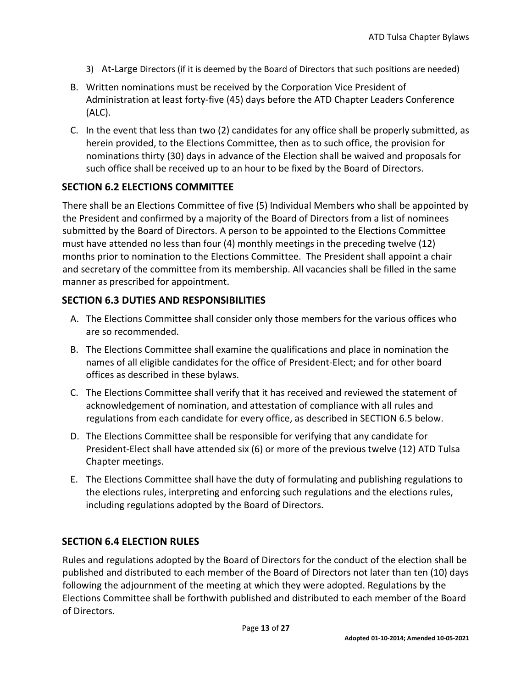- 3) At-Large Directors (if it is deemed by the Board of Directors that such positions are needed)
- B. Written nominations must be received by the Corporation Vice President of Administration at least forty-five (45) days before the ATD Chapter Leaders Conference (ALC).
- C. In the event that less than two (2) candidates for any office shall be properly submitted, as herein provided, to the Elections Committee, then as to such office, the provision for nominations thirty (30) days in advance of the Election shall be waived and proposals for such office shall be received up to an hour to be fixed by the Board of Directors.

#### <span id="page-12-0"></span>**SECTION 6.2 ELECTIONS COMMITTEE**

There shall be an Elections Committee of five (5) Individual Members who shall be appointed by the President and confirmed by a majority of the Board of Directors from a list of nominees submitted by the Board of Directors. A person to be appointed to the Elections Committee must have attended no less than four (4) monthly meetings in the preceding twelve (12) months prior to nomination to the Elections Committee. The President shall appoint a chair and secretary of the committee from its membership. All vacancies shall be filled in the same manner as prescribed for appointment.

#### <span id="page-12-1"></span>**SECTION 6.3 DUTIES AND RESPONSIBILITIES**

- A. The Elections Committee shall consider only those members for the various offices who are so recommended.
- B. The Elections Committee shall examine the qualifications and place in nomination the names of all eligible candidates for the office of President-Elect; and for other board offices as described in these bylaws.
- C. The Elections Committee shall verify that it has received and reviewed the statement of acknowledgement of nomination, and attestation of compliance with all rules and regulations from each candidate for every office, as described in SECTION 6.5 below.
- D. The Elections Committee shall be responsible for verifying that any candidate for President-Elect shall have attended six (6) or more of the previous twelve (12) ATD Tulsa Chapter meetings.
- E. The Elections Committee shall have the duty of formulating and publishing regulations to the elections rules, interpreting and enforcing such regulations and the elections rules, including regulations adopted by the Board of Directors.

# <span id="page-12-2"></span>**SECTION 6.4 ELECTION RULES**

Rules and regulations adopted by the Board of Directors for the conduct of the election shall be published and distributed to each member of the Board of Directors not later than ten (10) days following the adjournment of the meeting at which they were adopted. Regulations by the Elections Committee shall be forthwith published and distributed to each member of the Board of Directors.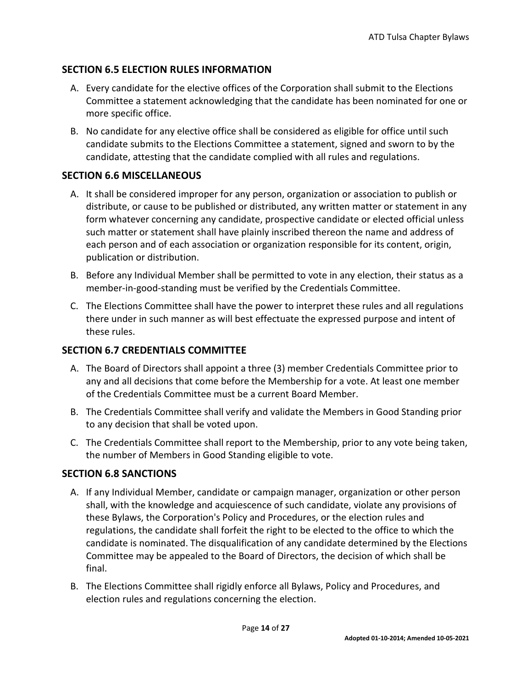# <span id="page-13-0"></span>**SECTION 6.5 ELECTION RULES INFORMATION**

- A. Every candidate for the elective offices of the Corporation shall submit to the Elections Committee a statement acknowledging that the candidate has been nominated for one or more specific office.
- B. No candidate for any elective office shall be considered as eligible for office until such candidate submits to the Elections Committee a statement, signed and sworn to by the candidate, attesting that the candidate complied with all rules and regulations.

#### <span id="page-13-1"></span>**SECTION 6.6 MISCELLANEOUS**

- A. It shall be considered improper for any person, organization or association to publish or distribute, or cause to be published or distributed, any written matter or statement in any form whatever concerning any candidate, prospective candidate or elected official unless such matter or statement shall have plainly inscribed thereon the name and address of each person and of each association or organization responsible for its content, origin, publication or distribution.
- B. Before any Individual Member shall be permitted to vote in any election, their status as a member-in-good-standing must be verified by the Credentials Committee.
- C. The Elections Committee shall have the power to interpret these rules and all regulations there under in such manner as will best effectuate the expressed purpose and intent of these rules.

#### <span id="page-13-2"></span>**SECTION 6.7 CREDENTIALS COMMITTEE**

- A. The Board of Directors shall appoint a three (3) member Credentials Committee prior to any and all decisions that come before the Membership for a vote. At least one member of the Credentials Committee must be a current Board Member.
- B. The Credentials Committee shall verify and validate the Members in Good Standing prior to any decision that shall be voted upon.
- C. The Credentials Committee shall report to the Membership, prior to any vote being taken, the number of Members in Good Standing eligible to vote.

#### <span id="page-13-3"></span>**SECTION 6.8 SANCTIONS**

- A. If any Individual Member, candidate or campaign manager, organization or other person shall, with the knowledge and acquiescence of such candidate, violate any provisions of these Bylaws, the Corporation's Policy and Procedures, or the election rules and regulations, the candidate shall forfeit the right to be elected to the office to which the candidate is nominated. The disqualification of any candidate determined by the Elections Committee may be appealed to the Board of Directors, the decision of which shall be final.
- B. The Elections Committee shall rigidly enforce all Bylaws, Policy and Procedures, and election rules and regulations concerning the election.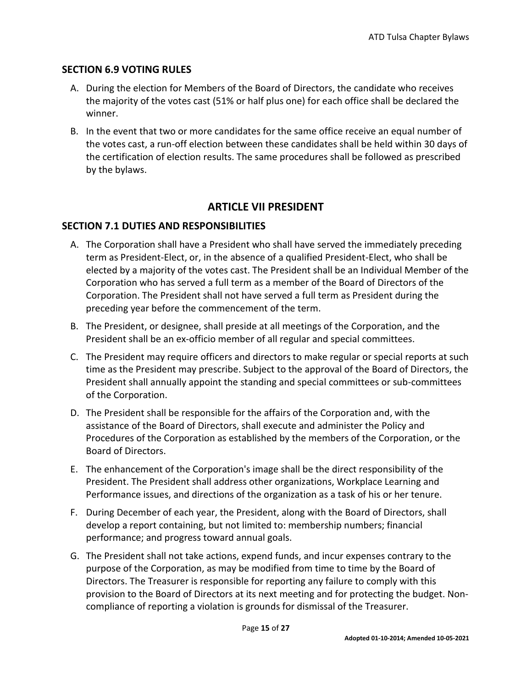#### <span id="page-14-0"></span>**SECTION 6.9 VOTING RULES**

- A. During the election for Members of the Board of Directors, the candidate who receives the majority of the votes cast (51% or half plus one) for each office shall be declared the winner.
- B. In the event that two or more candidates for the same office receive an equal number of the votes cast, a run-off election between these candidates shall be held within 30 days of the certification of election results. The same procedures shall be followed as prescribed by the bylaws.

# **ARTICLE VII PRESIDENT**

# <span id="page-14-2"></span><span id="page-14-1"></span>**SECTION 7.1 DUTIES AND RESPONSIBILITIES**

- A. The Corporation shall have a President who shall have served the immediately preceding term as President-Elect, or, in the absence of a qualified President-Elect, who shall be elected by a majority of the votes cast. The President shall be an Individual Member of the Corporation who has served a full term as a member of the Board of Directors of the Corporation. The President shall not have served a full term as President during the preceding year before the commencement of the term.
- B. The President, or designee, shall preside at all meetings of the Corporation, and the President shall be an ex-officio member of all regular and special committees.
- C. The President may require officers and directors to make regular or special reports at such time as the President may prescribe. Subject to the approval of the Board of Directors, the President shall annually appoint the standing and special committees or sub-committees of the Corporation.
- D. The President shall be responsible for the affairs of the Corporation and, with the assistance of the Board of Directors, shall execute and administer the Policy and Procedures of the Corporation as established by the members of the Corporation, or the Board of Directors.
- E. The enhancement of the Corporation's image shall be the direct responsibility of the President. The President shall address other organizations, Workplace Learning and Performance issues, and directions of the organization as a task of his or her tenure.
- F. During December of each year, the President, along with the Board of Directors, shall develop a report containing, but not limited to: membership numbers; financial performance; and progress toward annual goals.
- G. The President shall not take actions, expend funds, and incur expenses contrary to the purpose of the Corporation, as may be modified from time to time by the Board of Directors. The Treasurer is responsible for reporting any failure to comply with this provision to the Board of Directors at its next meeting and for protecting the budget. Noncompliance of reporting a violation is grounds for dismissal of the Treasurer.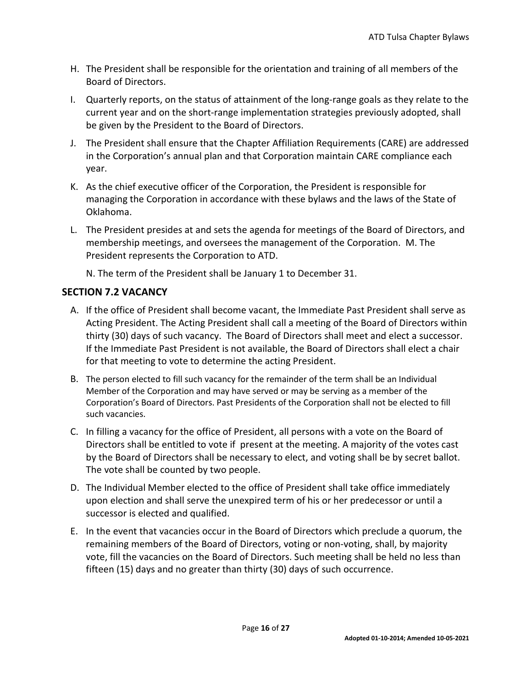- H. The President shall be responsible for the orientation and training of all members of the Board of Directors.
- I. Quarterly reports, on the status of attainment of the long-range goals as they relate to the current year and on the short-range implementation strategies previously adopted, shall be given by the President to the Board of Directors.
- J. The President shall ensure that the Chapter Affiliation Requirements (CARE) are addressed in the Corporation's annual plan and that Corporation maintain CARE compliance each year.
- K. As the chief executive officer of the Corporation, the President is responsible for managing the Corporation in accordance with these bylaws and the laws of the State of Oklahoma.
- L. The President presides at and sets the agenda for meetings of the Board of Directors, and membership meetings, and oversees the management of the Corporation. M. The President represents the Corporation to ATD.

N. The term of the President shall be January 1 to December 31.

#### <span id="page-15-0"></span>**SECTION 7.2 VACANCY**

- A. If the office of President shall become vacant, the Immediate Past President shall serve as Acting President. The Acting President shall call a meeting of the Board of Directors within thirty (30) days of such vacancy. The Board of Directors shall meet and elect a successor. If the Immediate Past President is not available, the Board of Directors shall elect a chair for that meeting to vote to determine the acting President.
- B. The person elected to fill such vacancy for the remainder of the term shall be an Individual Member of the Corporation and may have served or may be serving as a member of the Corporation's Board of Directors. Past Presidents of the Corporation shall not be elected to fill such vacancies.
- C. In filling a vacancy for the office of President, all persons with a vote on the Board of Directors shall be entitled to vote if present at the meeting. A majority of the votes cast by the Board of Directors shall be necessary to elect, and voting shall be by secret ballot. The vote shall be counted by two people.
- D. The Individual Member elected to the office of President shall take office immediately upon election and shall serve the unexpired term of his or her predecessor or until a successor is elected and qualified.
- E. In the event that vacancies occur in the Board of Directors which preclude a quorum, the remaining members of the Board of Directors, voting or non-voting, shall, by majority vote, fill the vacancies on the Board of Directors. Such meeting shall be held no less than fifteen (15) days and no greater than thirty (30) days of such occurrence.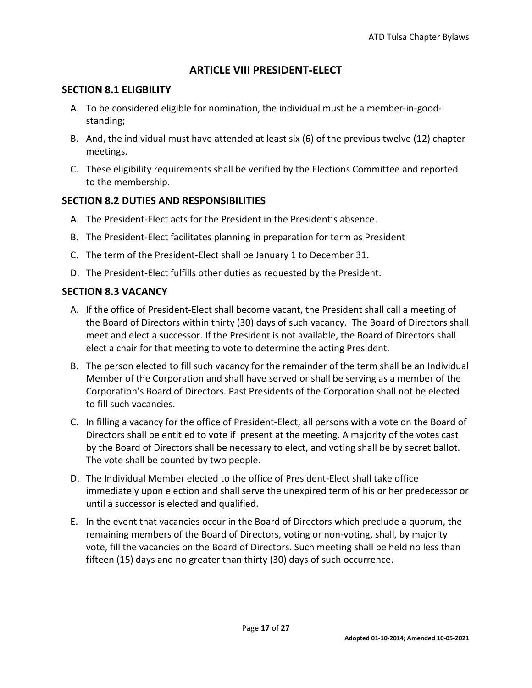# **ARTICLE VIII PRESIDENT-ELECT**

#### <span id="page-16-1"></span><span id="page-16-0"></span>**SECTION 8.1 ELIGBILITY**

- A. To be considered eligible for nomination, the individual must be a member-in-goodstanding;
- B. And, the individual must have attended at least six (6) of the previous twelve (12) chapter meetings.
- C. These eligibility requirements shall be verified by the Elections Committee and reported to the membership.

#### <span id="page-16-2"></span>**SECTION 8.2 DUTIES AND RESPONSIBILITIES**

- A. The President-Elect acts for the President in the President's absence.
- B. The President-Elect facilitates planning in preparation for term as President
- C. The term of the President-Elect shall be January 1 to December 31.
- D. The President-Elect fulfills other duties as requested by the President.

#### <span id="page-16-3"></span>**SECTION 8.3 VACANCY**

- A. If the office of President-Elect shall become vacant, the President shall call a meeting of the Board of Directors within thirty (30) days of such vacancy. The Board of Directors shall meet and elect a successor. If the President is not available, the Board of Directors shall elect a chair for that meeting to vote to determine the acting President.
- B. The person elected to fill such vacancy for the remainder of the term shall be an Individual Member of the Corporation and shall have served or shall be serving as a member of the Corporation's Board of Directors. Past Presidents of the Corporation shall not be elected to fill such vacancies.
- C. In filling a vacancy for the office of President-Elect, all persons with a vote on the Board of Directors shall be entitled to vote if present at the meeting. A majority of the votes cast by the Board of Directors shall be necessary to elect, and voting shall be by secret ballot. The vote shall be counted by two people.
- D. The Individual Member elected to the office of President-Elect shall take office immediately upon election and shall serve the unexpired term of his or her predecessor or until a successor is elected and qualified.
- E. In the event that vacancies occur in the Board of Directors which preclude a quorum, the remaining members of the Board of Directors, voting or non-voting, shall, by majority vote, fill the vacancies on the Board of Directors. Such meeting shall be held no less than fifteen (15) days and no greater than thirty (30) days of such occurrence.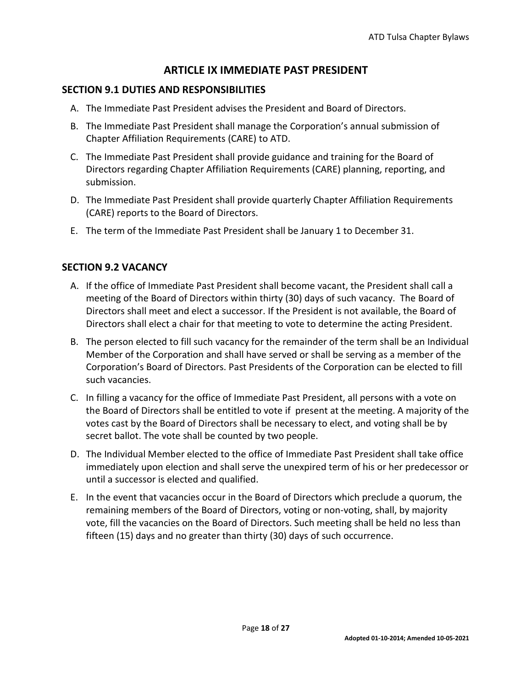# **ARTICLE IX IMMEDIATE PAST PRESIDENT**

#### <span id="page-17-1"></span><span id="page-17-0"></span>**SECTION 9.1 DUTIES AND RESPONSIBILITIES**

- A. The Immediate Past President advises the President and Board of Directors.
- B. The Immediate Past President shall manage the Corporation's annual submission of Chapter Affiliation Requirements (CARE) to ATD.
- C. The Immediate Past President shall provide guidance and training for the Board of Directors regarding Chapter Affiliation Requirements (CARE) planning, reporting, and submission.
- D. The Immediate Past President shall provide quarterly Chapter Affiliation Requirements (CARE) reports to the Board of Directors.
- E. The term of the Immediate Past President shall be January 1 to December 31.

# <span id="page-17-2"></span>**SECTION 9.2 VACANCY**

- A. If the office of Immediate Past President shall become vacant, the President shall call a meeting of the Board of Directors within thirty (30) days of such vacancy. The Board of Directors shall meet and elect a successor. If the President is not available, the Board of Directors shall elect a chair for that meeting to vote to determine the acting President.
- B. The person elected to fill such vacancy for the remainder of the term shall be an Individual Member of the Corporation and shall have served or shall be serving as a member of the Corporation's Board of Directors. Past Presidents of the Corporation can be elected to fill such vacancies.
- C. In filling a vacancy for the office of Immediate Past President, all persons with a vote on the Board of Directors shall be entitled to vote if present at the meeting. A majority of the votes cast by the Board of Directors shall be necessary to elect, and voting shall be by secret ballot. The vote shall be counted by two people.
- D. The Individual Member elected to the office of Immediate Past President shall take office immediately upon election and shall serve the unexpired term of his or her predecessor or until a successor is elected and qualified.
- E. In the event that vacancies occur in the Board of Directors which preclude a quorum, the remaining members of the Board of Directors, voting or non-voting, shall, by majority vote, fill the vacancies on the Board of Directors. Such meeting shall be held no less than fifteen (15) days and no greater than thirty (30) days of such occurrence.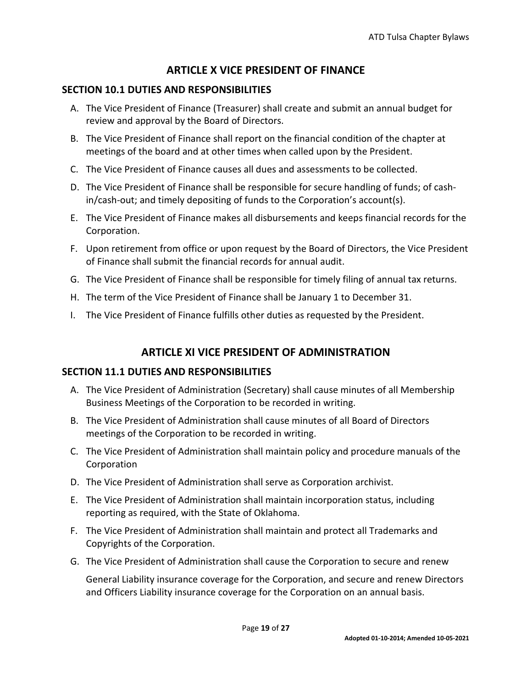# **ARTICLE X VICE PRESIDENT OF FINANCE**

# <span id="page-18-1"></span><span id="page-18-0"></span>**SECTION 10.1 DUTIES AND RESPONSIBILITIES**

- A. The Vice President of Finance (Treasurer) shall create and submit an annual budget for review and approval by the Board of Directors.
- B. The Vice President of Finance shall report on the financial condition of the chapter at meetings of the board and at other times when called upon by the President.
- C. The Vice President of Finance causes all dues and assessments to be collected.
- D. The Vice President of Finance shall be responsible for secure handling of funds; of cashin/cash-out; and timely depositing of funds to the Corporation's account(s).
- E. The Vice President of Finance makes all disbursements and keeps financial records for the Corporation.
- F. Upon retirement from office or upon request by the Board of Directors, the Vice President of Finance shall submit the financial records for annual audit.
- G. The Vice President of Finance shall be responsible for timely filing of annual tax returns.
- H. The term of the Vice President of Finance shall be January 1 to December 31.
- I. The Vice President of Finance fulfills other duties as requested by the President.

# **ARTICLE XI VICE PRESIDENT OF ADMINISTRATION**

# <span id="page-18-3"></span><span id="page-18-2"></span>**SECTION 11.1 DUTIES AND RESPONSIBILITIES**

- A. The Vice President of Administration (Secretary) shall cause minutes of all Membership Business Meetings of the Corporation to be recorded in writing.
- B. The Vice President of Administration shall cause minutes of all Board of Directors meetings of the Corporation to be recorded in writing.
- C. The Vice President of Administration shall maintain policy and procedure manuals of the Corporation
- D. The Vice President of Administration shall serve as Corporation archivist.
- E. The Vice President of Administration shall maintain incorporation status, including reporting as required, with the State of Oklahoma.
- F. The Vice President of Administration shall maintain and protect all Trademarks and Copyrights of the Corporation.
- G. The Vice President of Administration shall cause the Corporation to secure and renew

General Liability insurance coverage for the Corporation, and secure and renew Directors and Officers Liability insurance coverage for the Corporation on an annual basis.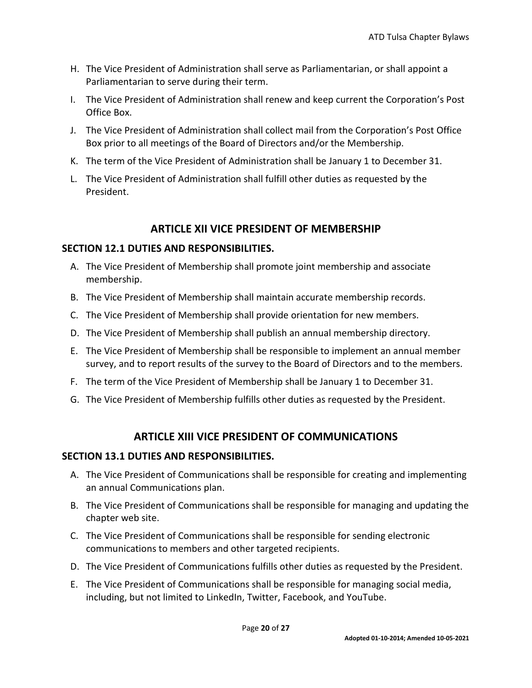- H. The Vice President of Administration shall serve as Parliamentarian, or shall appoint a Parliamentarian to serve during their term.
- I. The Vice President of Administration shall renew and keep current the Corporation's Post Office Box.
- J. The Vice President of Administration shall collect mail from the Corporation's Post Office Box prior to all meetings of the Board of Directors and/or the Membership.
- K. The term of the Vice President of Administration shall be January 1 to December 31.
- L. The Vice President of Administration shall fulfill other duties as requested by the President.

# **ARTICLE XII VICE PRESIDENT OF MEMBERSHIP**

#### <span id="page-19-1"></span><span id="page-19-0"></span>**SECTION 12.1 DUTIES AND RESPONSIBILITIES.**

- A. The Vice President of Membership shall promote joint membership and associate membership.
- B. The Vice President of Membership shall maintain accurate membership records.
- C. The Vice President of Membership shall provide orientation for new members.
- D. The Vice President of Membership shall publish an annual membership directory.
- E. The Vice President of Membership shall be responsible to implement an annual member survey, and to report results of the survey to the Board of Directors and to the members.
- F. The term of the Vice President of Membership shall be January 1 to December 31.
- G. The Vice President of Membership fulfills other duties as requested by the President.

# **ARTICLE XIII VICE PRESIDENT OF COMMUNICATIONS**

# <span id="page-19-3"></span><span id="page-19-2"></span>**SECTION 13.1 DUTIES AND RESPONSIBILITIES.**

- A. The Vice President of Communications shall be responsible for creating and implementing an annual Communications plan.
- B. The Vice President of Communications shall be responsible for managing and updating the chapter web site.
- C. The Vice President of Communications shall be responsible for sending electronic communications to members and other targeted recipients.
- D. The Vice President of Communications fulfills other duties as requested by the President.
- E. The Vice President of Communications shall be responsible for managing social media, including, but not limited to LinkedIn, Twitter, Facebook, and YouTube.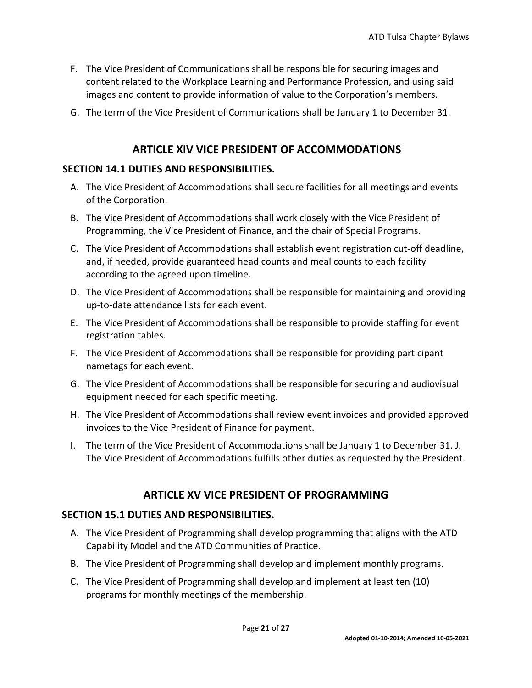- F. The Vice President of Communications shall be responsible for securing images and content related to the Workplace Learning and Performance Profession, and using said images and content to provide information of value to the Corporation's members.
- G. The term of the Vice President of Communications shall be January 1 to December 31.

#### **ARTICLE XIV VICE PRESIDENT OF ACCOMMODATIONS**

#### <span id="page-20-1"></span><span id="page-20-0"></span>**SECTION 14.1 DUTIES AND RESPONSIBILITIES.**

- A. The Vice President of Accommodations shall secure facilities for all meetings and events of the Corporation.
- B. The Vice President of Accommodations shall work closely with the Vice President of Programming, the Vice President of Finance, and the chair of Special Programs.
- C. The Vice President of Accommodations shall establish event registration cut-off deadline, and, if needed, provide guaranteed head counts and meal counts to each facility according to the agreed upon timeline.
- D. The Vice President of Accommodations shall be responsible for maintaining and providing up-to-date attendance lists for each event.
- E. The Vice President of Accommodations shall be responsible to provide staffing for event registration tables.
- F. The Vice President of Accommodations shall be responsible for providing participant nametags for each event.
- G. The Vice President of Accommodations shall be responsible for securing and audiovisual equipment needed for each specific meeting.
- H. The Vice President of Accommodations shall review event invoices and provided approved invoices to the Vice President of Finance for payment.
- I. The term of the Vice President of Accommodations shall be January 1 to December 31. J. The Vice President of Accommodations fulfills other duties as requested by the President.

#### **ARTICLE XV VICE PRESIDENT OF PROGRAMMING**

#### <span id="page-20-3"></span><span id="page-20-2"></span>**SECTION 15.1 DUTIES AND RESPONSIBILITIES.**

- A. The Vice President of Programming shall develop programming that aligns with the ATD Capability Model and the ATD Communities of Practice.
- B. The Vice President of Programming shall develop and implement monthly programs.
- C. The Vice President of Programming shall develop and implement at least ten (10) programs for monthly meetings of the membership.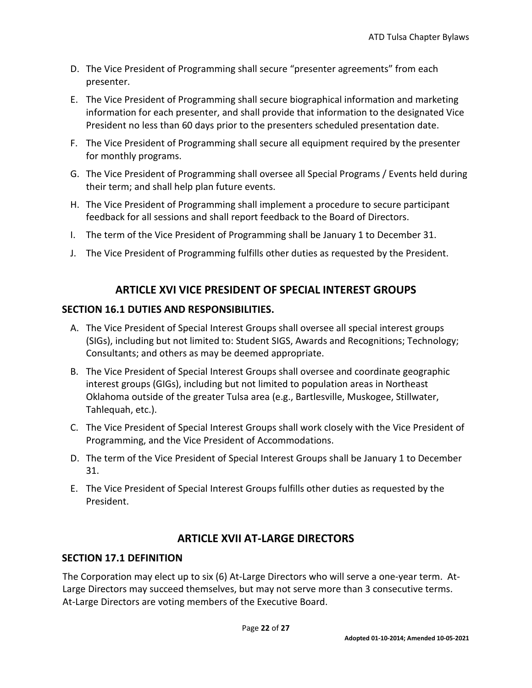- D. The Vice President of Programming shall secure "presenter agreements" from each presenter.
- E. The Vice President of Programming shall secure biographical information and marketing information for each presenter, and shall provide that information to the designated Vice President no less than 60 days prior to the presenters scheduled presentation date.
- F. The Vice President of Programming shall secure all equipment required by the presenter for monthly programs.
- G. The Vice President of Programming shall oversee all Special Programs / Events held during their term; and shall help plan future events.
- H. The Vice President of Programming shall implement a procedure to secure participant feedback for all sessions and shall report feedback to the Board of Directors.
- I. The term of the Vice President of Programming shall be January 1 to December 31.
- J. The Vice President of Programming fulfills other duties as requested by the President.

# **ARTICLE XVI VICE PRESIDENT OF SPECIAL INTEREST GROUPS**

#### <span id="page-21-1"></span><span id="page-21-0"></span>**SECTION 16.1 DUTIES AND RESPONSIBILITIES.**

- A. The Vice President of Special Interest Groups shall oversee all special interest groups (SIGs), including but not limited to: Student SIGS, Awards and Recognitions; Technology; Consultants; and others as may be deemed appropriate.
- B. The Vice President of Special Interest Groups shall oversee and coordinate geographic interest groups (GIGs), including but not limited to population areas in Northeast Oklahoma outside of the greater Tulsa area (e.g., Bartlesville, Muskogee, Stillwater, Tahlequah, etc.).
- C. The Vice President of Special Interest Groups shall work closely with the Vice President of Programming, and the Vice President of Accommodations.
- D. The term of the Vice President of Special Interest Groups shall be January 1 to December 31.
- E. The Vice President of Special Interest Groups fulfills other duties as requested by the President.

# **ARTICLE XVII AT-LARGE DIRECTORS**

#### <span id="page-21-3"></span><span id="page-21-2"></span>**SECTION 17.1 DEFINITION**

The Corporation may elect up to six (6) At-Large Directors who will serve a one-year term. At-Large Directors may succeed themselves, but may not serve more than 3 consecutive terms. At-Large Directors are voting members of the Executive Board.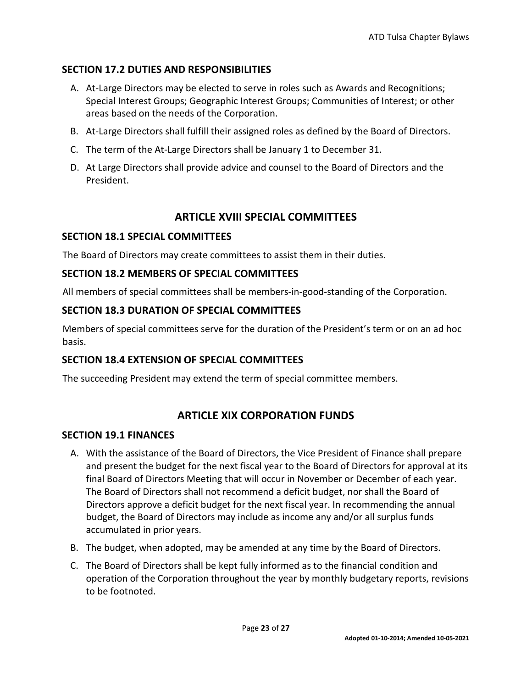# <span id="page-22-0"></span>**SECTION 17.2 DUTIES AND RESPONSIBILITIES**

- A. At-Large Directors may be elected to serve in roles such as Awards and Recognitions; Special Interest Groups; Geographic Interest Groups; Communities of Interest; or other areas based on the needs of the Corporation.
- B. At-Large Directors shall fulfill their assigned roles as defined by the Board of Directors.
- C. The term of the At-Large Directors shall be January 1 to December 31.
- D. At Large Directors shall provide advice and counsel to the Board of Directors and the President.

# **ARTICLE XVIII SPECIAL COMMITTEES**

#### <span id="page-22-2"></span><span id="page-22-1"></span>**SECTION 18.1 SPECIAL COMMITTEES**

The Board of Directors may create committees to assist them in their duties.

#### <span id="page-22-3"></span>**SECTION 18.2 MEMBERS OF SPECIAL COMMITTEES**

All members of special committees shall be members-in-good-standing of the Corporation.

#### <span id="page-22-4"></span>**SECTION 18.3 DURATION OF SPECIAL COMMITTEES**

Members of special committees serve for the duration of the President's term or on an ad hoc basis.

# <span id="page-22-5"></span>**SECTION 18.4 EXTENSION OF SPECIAL COMMITTEES**

The succeeding President may extend the term of special committee members.

# **ARTICLE XIX CORPORATION FUNDS**

#### <span id="page-22-7"></span><span id="page-22-6"></span>**SECTION 19.1 FINANCES**

- A. With the assistance of the Board of Directors, the Vice President of Finance shall prepare and present the budget for the next fiscal year to the Board of Directors for approval at its final Board of Directors Meeting that will occur in November or December of each year. The Board of Directors shall not recommend a deficit budget, nor shall the Board of Directors approve a deficit budget for the next fiscal year. In recommending the annual budget, the Board of Directors may include as income any and/or all surplus funds accumulated in prior years.
- B. The budget, when adopted, may be amended at any time by the Board of Directors.
- C. The Board of Directors shall be kept fully informed as to the financial condition and operation of the Corporation throughout the year by monthly budgetary reports, revisions to be footnoted.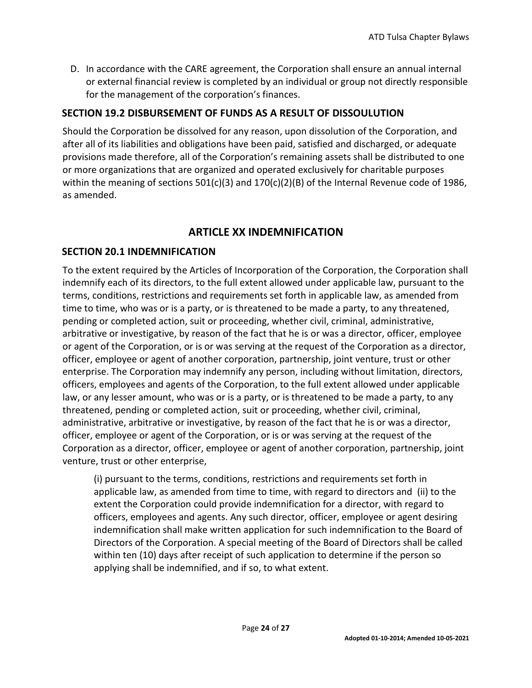D. In accordance with the CARE agreement, the Corporation shall ensure an annual internal or external financial review is completed by an individual or group not directly responsible for the management of the corporation's finances.

#### <span id="page-23-0"></span>**SECTION 19.2 DISBURSEMENT OF FUNDS AS A RESULT OF DISSOULUTION**

Should the Corporation be dissolved for any reason, upon dissolution of the Corporation, and after all of its liabilities and obligations have been paid, satisfied and discharged, or adequate provisions made therefore, all of the Corporation's remaining assets shall be distributed to one or more organizations that are organized and operated exclusively for charitable purposes within the meaning of sections  $501(c)(3)$  and  $170(c)(2)(B)$  of the Internal Revenue code of 1986, as amended.

# **ARTICLE XX INDEMNIFICATION**

#### <span id="page-23-2"></span><span id="page-23-1"></span>**SECTION 20.1 INDEMNIFICATION**

To the extent required by the Articles of Incorporation of the Corporation, the Corporation shall indemnify each of its directors, to the full extent allowed under applicable law, pursuant to the terms, conditions, restrictions and requirements set forth in applicable law, as amended from time to time, who was or is a party, or is threatened to be made a party, to any threatened, pending or completed action, suit or proceeding, whether civil, criminal, administrative, arbitrative or investigative, by reason of the fact that he is or was a director, officer, employee or agent of the Corporation, or is or was serving at the request of the Corporation as a director, officer, employee or agent of another corporation, partnership, joint venture, trust or other enterprise. The Corporation may indemnify any person, including without limitation, directors, officers, employees and agents of the Corporation, to the full extent allowed under applicable law, or any lesser amount, who was or is a party, or is threatened to be made a party, to any threatened, pending or completed action, suit or proceeding, whether civil, criminal, administrative, arbitrative or investigative, by reason of the fact that he is or was a director, officer, employee or agent of the Corporation, or is or was serving at the request of the Corporation as a director, officer, employee or agent of another corporation, partnership, joint venture, trust or other enterprise,

(i) pursuant to the terms, conditions, restrictions and requirements set forth in applicable law, as amended from time to time, with regard to directors and (ii) to the extent the Corporation could provide indemnification for a director, with regard to officers, employees and agents. Any such director, officer, employee or agent desiring indemnification shall make written application for such indemnification to the Board of Directors of the Corporation. A special meeting of the Board of Directors shall be called within ten (10) days after receipt of such application to determine if the person so applying shall be indemnified, and if so, to what extent.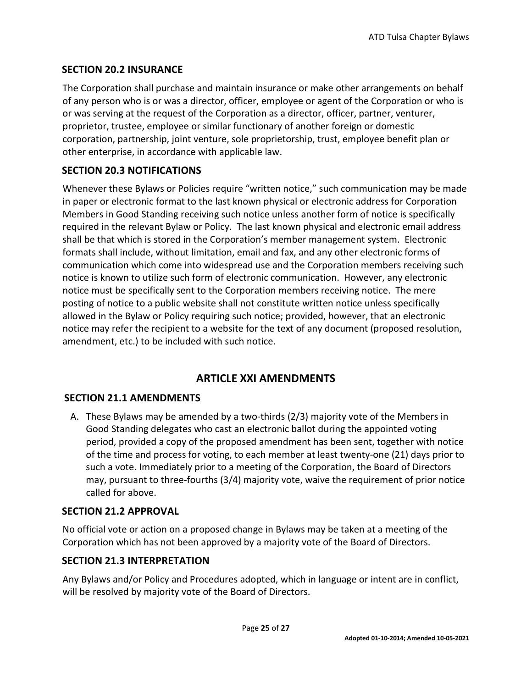# <span id="page-24-0"></span>**SECTION 20.2 INSURANCE**

The Corporation shall purchase and maintain insurance or make other arrangements on behalf of any person who is or was a director, officer, employee or agent of the Corporation or who is or was serving at the request of the Corporation as a director, officer, partner, venturer, proprietor, trustee, employee or similar functionary of another foreign or domestic corporation, partnership, joint venture, sole proprietorship, trust, employee benefit plan or other enterprise, in accordance with applicable law.

# <span id="page-24-1"></span>**SECTION 20.3 NOTIFICATIONS**

Whenever these Bylaws or Policies require "written notice," such communication may be made in paper or electronic format to the last known physical or electronic address for Corporation Members in Good Standing receiving such notice unless another form of notice is specifically required in the relevant Bylaw or Policy. The last known physical and electronic email address shall be that which is stored in the Corporation's member management system. Electronic formats shall include, without limitation, email and fax, and any other electronic forms of communication which come into widespread use and the Corporation members receiving such notice is known to utilize such form of electronic communication. However, any electronic notice must be specifically sent to the Corporation members receiving notice. The mere posting of notice to a public website shall not constitute written notice unless specifically allowed in the Bylaw or Policy requiring such notice; provided, however, that an electronic notice may refer the recipient to a website for the text of any document (proposed resolution, amendment, etc.) to be included with such notice.

# **ARTICLE XXI AMENDMENTS**

# <span id="page-24-3"></span><span id="page-24-2"></span>**SECTION 21.1 AMENDMENTS**

A. These Bylaws may be amended by a two-thirds (2/3) majority vote of the Members in Good Standing delegates who cast an electronic ballot during the appointed voting period, provided a copy of the proposed amendment has been sent, together with notice of the time and process for voting, to each member at least twenty-one (21) days prior to such a vote. Immediately prior to a meeting of the Corporation, the Board of Directors may, pursuant to three-fourths (3/4) majority vote, waive the requirement of prior notice called for above.

# <span id="page-24-4"></span>**SECTION 21.2 APPROVAL**

No official vote or action on a proposed change in Bylaws may be taken at a meeting of the Corporation which has not been approved by a majority vote of the Board of Directors.

# <span id="page-24-5"></span>**SECTION 21.3 INTERPRETATION**

Any Bylaws and/or Policy and Procedures adopted, which in language or intent are in conflict, will be resolved by majority vote of the Board of Directors.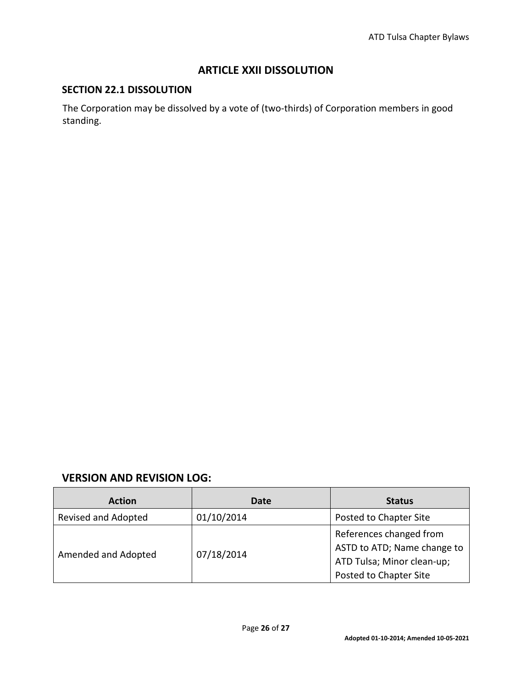# **ARTICLE XXII DISSOLUTION**

#### <span id="page-25-1"></span><span id="page-25-0"></span>**SECTION 22.1 DISSOLUTION**

The Corporation may be dissolved by a vote of (two-thirds) of Corporation members in good standing.

#### <span id="page-25-2"></span>**VERSION AND REVISION LOG:**

| <b>Action</b>       | Date       | <b>Status</b>                                             |
|---------------------|------------|-----------------------------------------------------------|
| Revised and Adopted | 01/10/2014 | Posted to Chapter Site                                    |
| Amended and Adopted | 07/18/2014 | References changed from                                   |
|                     |            | ASTD to ATD; Name change to<br>ATD Tulsa; Minor clean-up; |
|                     |            | Posted to Chapter Site                                    |